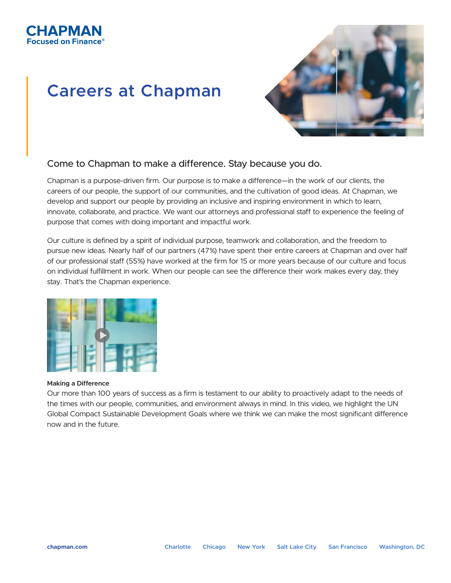

# **Careers at Chapman**



### Come to Chapman to make a difference. Stay because you do.

Chapman is a purpose-driven firm. Our purpose is to make a difference—in the work of our clients, the careers of our people, the support of our communities, and the cultivation of good ideas. At Chapman, we develop and support our people by providing an inclusive and inspiring environment in which to learn, innovate, collaborate, and practice. We want our attorneys and professional staff to experience the feeling of purpose that comes with doing important and impactful work.

Our culture is defined by a spirit of individual purpose, teamwork and collaboration, and the freedom to pursue new ideas. Nearly half of our partners (47%) have spent their entire careers at Chapman and over half of our professional staff (55%) have worked at the firm for 15 or more years because of our culture and focus on individual fulfillment in work. When our people can see the difference their work makes every day, they stay. That's the Chapman experience.



#### **Making a Difference**

Our more than 100 years of success as a firm is testament to our ability to proactively adapt to the needs of the times with our people, communities, and environment always in mind. In this video, we highlight the UN Global Compact Sustainable Development Goals where we think we can make the most significant difference now and in the future.